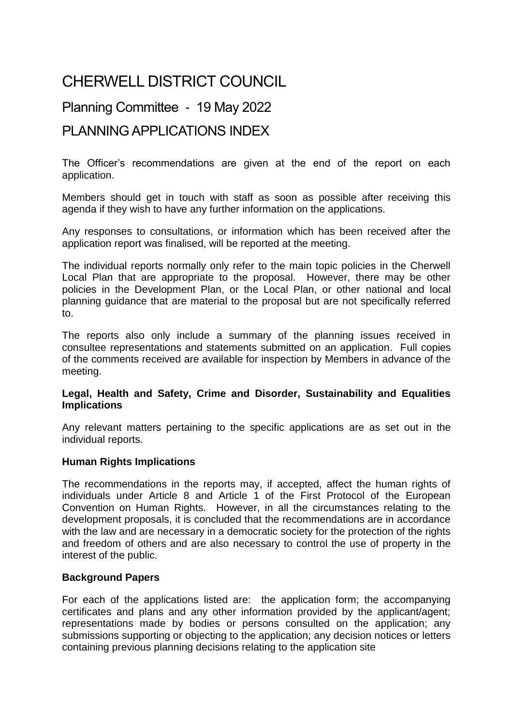# CHERWELL DISTRICT COUNCIL

## Planning Committee - 19 May <sup>2022</sup>

### PLANNING APPLICATIONS INDEX

The Officer's recommendations are given at the end of the report on each application.

Members should get in touch with staff as soon as possible after receiving this agenda if they wish to have any further information on the applications.

Any responses to consultations, or information which has been received after the application report was finalised, will be reported at the meeting.

The individual reports normally only refer to the main topic policies in the Cherwell Local Plan that are appropriate to the proposal. However, there may be other policies in the Development Plan, or the Local Plan, or other national and local planning guidance that are material to the proposal but are not specifically referred to.

The reports also only include a summary of the planning issues received in consultee representations and statements submitted on an application. Full copies of the comments received are available for inspection by Members in advance of the meeting.

#### **Legal, Health and Safety, Crime and Disorder, Sustainability and Equalities Implications**

Any relevant matters pertaining to the specific applications are as set out in the individual reports.

#### **Human Rights Implications**

The recommendations in the reports may, if accepted, affect the human rights of individuals under Article 8 and Article 1 of the First Protocol of the European Convention on Human Rights. However, in all the circumstances relating to the development proposals, it is concluded that the recommendations are in accordance with the law and are necessary in a democratic society for the protection of the rights and freedom of others and are also necessary to control the use of property in the interest of the public.

#### **Background Papers**

For each of the applications listed are: the application form; the accompanying certificates and plans and any other information provided by the applicant/agent; representations made by bodies or persons consulted on the application; any submissions supporting or objecting to the application; any decision notices or letters containing previous planning decisions relating to the application site